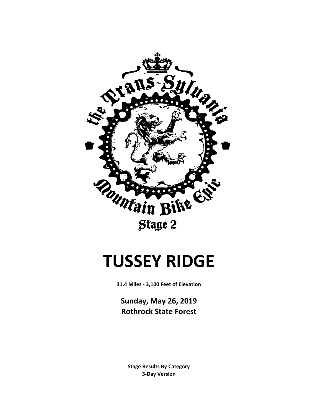

# **TUSSEY RIDGE**

**31.4 Miles - 3,100 Feet of Elevation**

**Sunday, May 26, 2019 Rothrock State Forest**

**3-Day Version Stage Results By Category**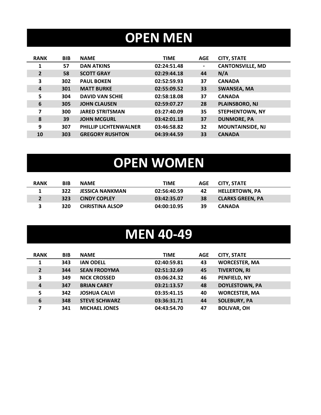## **OPEN MEN**

| <b>RANK</b>    | <b>BIB</b> | <b>NAME</b>                  | <b>TIME</b> | <b>AGE</b>     | <b>CITY, STATE</b>      |
|----------------|------------|------------------------------|-------------|----------------|-------------------------|
|                | 57         | <b>DAN ATKINS</b>            | 02:24:51.48 | $\blacksquare$ | <b>CANTONSVILLE, MD</b> |
| $\overline{2}$ | 58         | <b>SCOTT GRAY</b>            | 02:29:44.18 | 44             | N/A                     |
| 3              | 302        | <b>PAUL BOKEN</b>            | 02:52:59.93 | 37             | <b>CANADA</b>           |
| 4              | 301        | <b>MATT BURKE</b>            | 02:55:09.52 | 33             | <b>SWANSEA, MA</b>      |
| 5              | 304        | <b>DAVID VAN SCHIE</b>       | 02:58:18.08 | 37             | <b>CANADA</b>           |
| 6              | 305        | <b>JOHN CLAUSEN</b>          | 02:59:07.27 | 28             | PLAINSBORO, NJ          |
| 7              | 300        | <b>JARED STRITSMAN</b>       | 03:27:40.09 | 35             | <b>STEPHENTOWN, NY</b>  |
| 8              | 39         | <b>JOHN MCGURL</b>           | 03:42:01.18 | 37             | <b>DUNMORE, PA</b>      |
| 9              | 307        | <b>PHILLIP LICHTENWALNER</b> | 03:46:58.82 | 32             | <b>MOUNTAINSIDE, NJ</b> |
| 10             | 303        | <b>GREGORY RUSHTON</b>       | 04:39:44.59 | 33             | <b>CANADA</b>           |

# **OPEN WOMEN**

| <b>RANK</b> | <b>BIB</b> | <b>NAME</b>            | TIME        | AGE | CITY. STATE             |
|-------------|------------|------------------------|-------------|-----|-------------------------|
|             | 322        | <b>JESSICA NANKMAN</b> | 02:56:40.59 | 42  | <b>HELLERTOWN. PA</b>   |
|             | 323        | <b>CINDY COPLEY</b>    | 03:42:35.07 | 38  | <b>CLARKS GREEN. PA</b> |
|             | 320        | <b>CHRISTINA ALSOP</b> | 04:00:10.95 | 39  | <b>CANADA</b>           |

#### **MEN 40-49**

| <b>RANK</b>    | <b>BIB</b> | <b>NAME</b>          | <b>TIME</b> | <b>AGE</b> | <b>CITY, STATE</b>    |
|----------------|------------|----------------------|-------------|------------|-----------------------|
| 1              | 343        | <b>IAN ODELL</b>     | 02:40:59.81 | 43         | <b>WORCESTER, MA</b>  |
| $\overline{2}$ | 344        | <b>SEAN FRODYMA</b>  | 02:51:32.69 | 45         | <b>TIVERTON, RI</b>   |
| 3              | 349        | <b>NICK CROSSED</b>  | 03:06:24.32 | 46         | PENFIELD, NY          |
| 4              | 347        | <b>BRIAN CAREY</b>   | 03:21:13.57 | 48         | <b>DOYLESTOWN, PA</b> |
| 5              | 342        | <b>JOSHUA CALVI</b>  | 03:35:41.15 | 40         | <b>WORCESTER, MA</b>  |
| 6              | 348        | <b>STEVE SCHWARZ</b> | 03:36:31.71 | 44         | <b>SOLEBURY, PA</b>   |
| 7              | 341        | <b>MICHAEL JONES</b> | 04:43:54.70 | 47         | <b>BOLIVAR, OH</b>    |